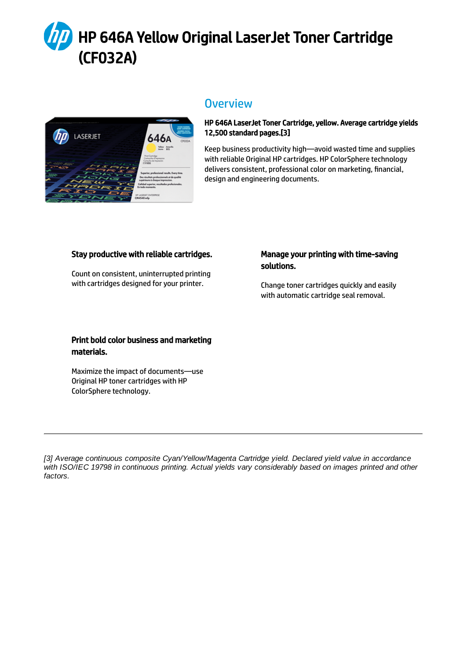# HP 646A Yellow Original LaserJet Toner Cartridge (CF032A)



### **Overview**

#### HP 646A LaserJet Toner Cartridge, yellow. Average cartridge yields 12,500 standard pages.[3]

Keep business productivity high—avoid wasted time and supplies with reliable Original HP cartridges. HP ColorSphere technology delivers consistent, professional color on marketing, financial, design and engineering documents.

#### Stay productive with reliable cartridges.

Count on consistent, uninterrupted printing with cartridges designed for your printer.

#### Manage your printing with time-saving solutions.

Change toner cartridges quickly and easily with automatic cartridge seal removal.

#### Print bold color business and marketing materials.

Maximize the impact of documents—use Original HP toner cartridges with HP ColorSphere technology.

*[3] Average continuous composite Cyan/Yellow/Magenta Cartridge yield. Declared yield value in accordance with ISO/IEC 19798 in continuous printing. Actual yields vary considerably based on images printed and other factors.*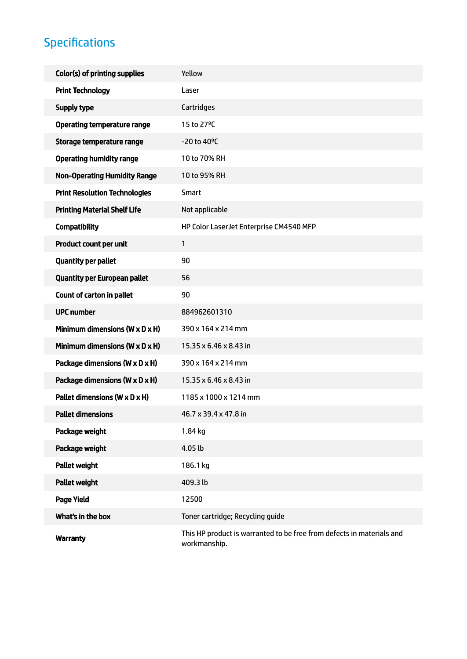## Specifications

| Color(s) of printing supplies                | Yellow                                                                                |
|----------------------------------------------|---------------------------------------------------------------------------------------|
| <b>Print Technology</b>                      | Laser                                                                                 |
| Supply type                                  | Cartridges                                                                            |
| <b>Operating temperature range</b>           | 15 to 27°C                                                                            |
| Storage temperature range                    | $-20$ to 40 $^{\circ}$ C                                                              |
| <b>Operating humidity range</b>              | 10 to 70% RH                                                                          |
| <b>Non-Operating Humidity Range</b>          | 10 to 95% RH                                                                          |
| <b>Print Resolution Technologies</b>         | Smart                                                                                 |
| <b>Printing Material Shelf Life</b>          | Not applicable                                                                        |
| <b>Compatibility</b>                         | HP Color LaserJet Enterprise CM4540 MFP                                               |
| Product count per unit                       | $\mathbf{1}$                                                                          |
| <b>Quantity per pallet</b>                   | 90                                                                                    |
| <b>Quantity per European pallet</b>          | 56                                                                                    |
| Count of carton in pallet                    | 90                                                                                    |
| <b>UPC number</b>                            | 884962601310                                                                          |
| Minimum dimensions ( $W \times D \times H$ ) | 390 x 164 x 214 mm                                                                    |
| Minimum dimensions ( $W \times D \times H$ ) | 15.35 x 6.46 x 8.43 in                                                                |
| Package dimensions (W x D x H)               | 390 x 164 x 214 mm                                                                    |
| Package dimensions (W x D x H)               | 15.35 x 6.46 x 8.43 in                                                                |
| Pallet dimensions (W x D x H)                | 1185 x 1000 x 1214 mm                                                                 |
| <b>Pallet dimensions</b>                     | 46.7 x 39.4 x 47.8 in                                                                 |
| Package weight                               | 1.84 kg                                                                               |
| Package weight                               | 4.05 lb                                                                               |
| <b>Pallet weight</b>                         | 186.1 kg                                                                              |
| <b>Pallet weight</b>                         | 409.3 lb                                                                              |
| <b>Page Yield</b>                            | 12500                                                                                 |
| What's in the box                            | Toner cartridge; Recycling guide                                                      |
| <b>Warranty</b>                              | This HP product is warranted to be free from defects in materials and<br>workmanship. |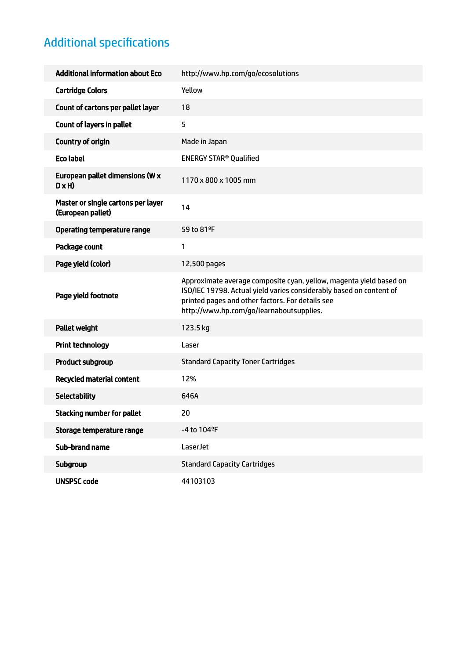## Additional specifications

| <b>Additional information about Eco</b>                 | http://www.hp.com/go/ecosolutions                                                                                                                                                                                                         |
|---------------------------------------------------------|-------------------------------------------------------------------------------------------------------------------------------------------------------------------------------------------------------------------------------------------|
| <b>Cartridge Colors</b>                                 | Yellow                                                                                                                                                                                                                                    |
| Count of cartons per pallet layer                       | 18                                                                                                                                                                                                                                        |
| <b>Count of layers in pallet</b>                        | 5                                                                                                                                                                                                                                         |
| <b>Country of origin</b>                                | Made in Japan                                                                                                                                                                                                                             |
| <b>Eco label</b>                                        | <b>ENERGY STAR<sup>®</sup> Qualified</b>                                                                                                                                                                                                  |
| European pallet dimensions (W x<br>$D \times H$         | 1170 x 800 x 1005 mm                                                                                                                                                                                                                      |
| Master or single cartons per layer<br>(European pallet) | 14                                                                                                                                                                                                                                        |
| <b>Operating temperature range</b>                      | 59 to 81°F                                                                                                                                                                                                                                |
| Package count                                           | 1                                                                                                                                                                                                                                         |
| Page yield (color)                                      | 12,500 pages                                                                                                                                                                                                                              |
| Page yield footnote                                     | Approximate average composite cyan, yellow, magenta yield based on<br>ISO/IEC 19798. Actual yield varies considerably based on content of<br>printed pages and other factors. For details see<br>http://www.hp.com/go/learnaboutsupplies. |
| <b>Pallet weight</b>                                    | 123.5 kg                                                                                                                                                                                                                                  |
| <b>Print technology</b>                                 | Laser                                                                                                                                                                                                                                     |
| <b>Product subgroup</b>                                 | <b>Standard Capacity Toner Cartridges</b>                                                                                                                                                                                                 |
| <b>Recycled material content</b>                        | 12%                                                                                                                                                                                                                                       |
| <b>Selectability</b>                                    | 646A                                                                                                                                                                                                                                      |
| <b>Stacking number for pallet</b>                       | 20                                                                                                                                                                                                                                        |
| Storage temperature range                               | -4 to 104°F                                                                                                                                                                                                                               |
| <b>Sub-brand name</b>                                   | LaserJet                                                                                                                                                                                                                                  |
| Subgroup                                                | <b>Standard Capacity Cartridges</b>                                                                                                                                                                                                       |
| <b>UNSPSC code</b>                                      | 44103103                                                                                                                                                                                                                                  |